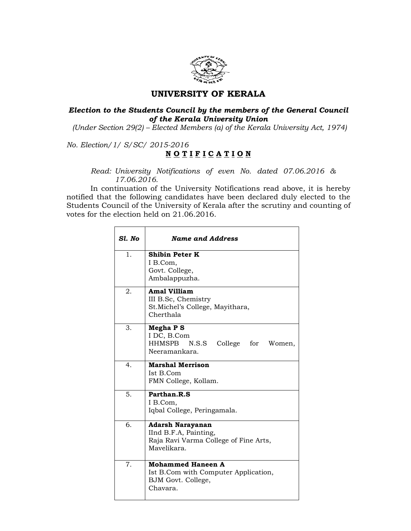

## UNIVERSITY OF KERALA

## Election to the Students Council by the members of the General Council of the Kerala University Union

(Under Section 29(2) – Elected Members (a) of the Kerala University Act, 1974)

No. Election/1/ S/SC/ 2015-2016

## NOTIFICATION

Read: University Notifications of even No. dated 07.06.2016 & 17.06.2016.

 In continuation of the University Notifications read above, it is hereby notified that the following candidates have been declared duly elected to the Students Council of the University of Kerala after the scrutiny and counting of votes for the election held on 21.06.2016.

| Sl. No         | <b>Name and Address</b>                                                                                  |
|----------------|----------------------------------------------------------------------------------------------------------|
| 1.             | <b>Shibin Peter K</b><br>I B.Com,<br>Govt. College,<br>Ambalappuzha.                                     |
| 2.             | <b>Amal Villiam</b><br>III B.Sc, Chemistry<br>St. Michel's College, Mayithara,<br>Cherthala              |
| 3.             | Megha P S<br>I DC, B.Com<br>HHMSPB<br>N.S.S<br>College for<br>Women,<br>Neeramankara.                    |
| 4 <sub>1</sub> | <b>Marshal Merrison</b><br>Ist B.Com<br>FMN College, Kollam.                                             |
| 5.             | Parthan.R.S<br>I B.Com,<br>Iqbal College, Peringamala.                                                   |
| б.             | <b>Adarsh Narayanan</b><br>IInd B.F.A, Painting,<br>Raja Ravi Varma College of Fine Arts,<br>Mayelikara. |
| 7.             | <b>Mohammed Haneen A</b><br>Ist B.Com with Computer Application,<br>BJM Govt. College,<br>Chavara.       |